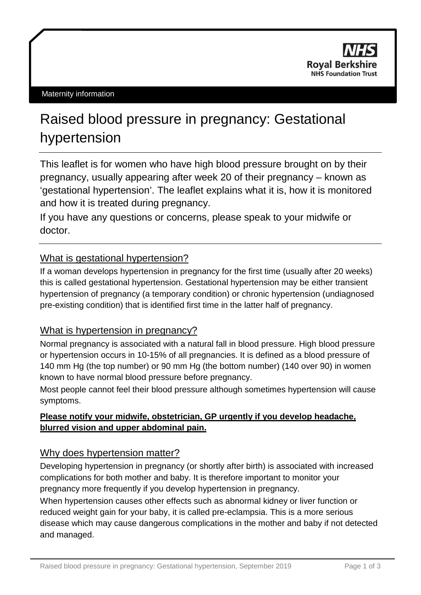

#### Maternity information

# Raised blood pressure in pregnancy: Gestational hypertension

This leaflet is for women who have high blood pressure brought on by their pregnancy, usually appearing after week 20 of their pregnancy – known as 'gestational hypertension'. The leaflet explains what it is, how it is monitored and how it is treated during pregnancy.

If you have any questions or concerns, please speak to your midwife or doctor.

## What is gestational hypertension?

If a woman develops hypertension in pregnancy for the first time (usually after 20 weeks) this is called gestational hypertension. Gestational hypertension may be either transient hypertension of pregnancy (a temporary condition) or chronic hypertension (undiagnosed pre-existing condition) that is identified first time in the latter half of pregnancy.

## What is hypertension in pregnancy?

Normal pregnancy is associated with a natural fall in blood pressure. High blood pressure or hypertension occurs in 10-15% of all pregnancies. It is defined as a blood pressure of 140 mm Hg (the top number) or 90 mm Hg (the bottom number) (140 over 90) in women known to have normal blood pressure before pregnancy.

Most people cannot feel their blood pressure although sometimes hypertension will cause symptoms.

## **Please notify your midwife, obstetrician, GP urgently if you develop headache, blurred vision and upper abdominal pain.**

### Why does hypertension matter?

Developing hypertension in pregnancy (or shortly after birth) is associated with increased complications for both mother and baby. It is therefore important to monitor your pregnancy more frequently if you develop hypertension in pregnancy.

When hypertension causes other effects such as abnormal kidney or liver function or reduced weight gain for your baby, it is called pre-eclampsia. This is a more serious disease which may cause dangerous complications in the mother and baby if not detected and managed.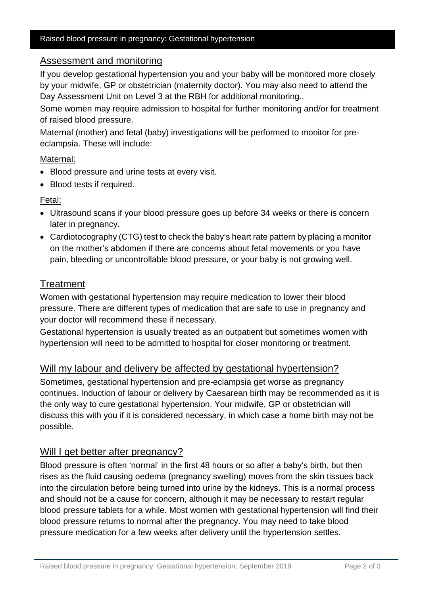#### Raised blood pressure in pregnancy: Gestational hypertension

### Assessment and monitoring

If you develop gestational hypertension you and your baby will be monitored more closely by your midwife, GP or obstetrician (maternity doctor). You may also need to attend the Day Assessment Unit on Level 3 at the RBH for additional monitoring..

Some women may require admission to hospital for further monitoring and/or for treatment of raised blood pressure.

Maternal (mother) and fetal (baby) investigations will be performed to monitor for preeclampsia. These will include:

#### Maternal:

- Blood pressure and urine tests at every visit.
- Blood tests if required.

Fetal:

- Ultrasound scans if your blood pressure goes up before 34 weeks or there is concern later in pregnancy.
- Cardiotocography (CTG) test to check the baby's heart rate pattern by placing a monitor on the mother's abdomen if there are concerns about fetal movements or you have pain, bleeding or uncontrollable blood pressure, or your baby is not growing well.

## **Treatment**

Women with gestational hypertension may require medication to lower their blood pressure. There are different types of medication that are safe to use in pregnancy and your doctor will recommend these if necessary.

Gestational hypertension is usually treated as an outpatient but sometimes women with hypertension will need to be admitted to hospital for closer monitoring or treatment.

# Will my labour and delivery be affected by gestational hypertension?

Sometimes, gestational hypertension and pre-eclampsia get worse as pregnancy continues. Induction of labour or delivery by Caesarean birth may be recommended as it is the only way to cure gestational hypertension. Your midwife, GP or obstetrician will discuss this with you if it is considered necessary, in which case a home birth may not be possible.

## Will I get better after pregnancy?

Blood pressure is often 'normal' in the first 48 hours or so after a baby's birth, but then rises as the fluid causing oedema (pregnancy swelling) moves from the skin tissues back into the circulation before being turned into urine by the kidneys. This is a normal process and should not be a cause for concern, although it may be necessary to restart regular blood pressure tablets for a while. Most women with gestational hypertension will find their blood pressure returns to normal after the pregnancy. You may need to take blood pressure medication for a few weeks after delivery until the hypertension settles.